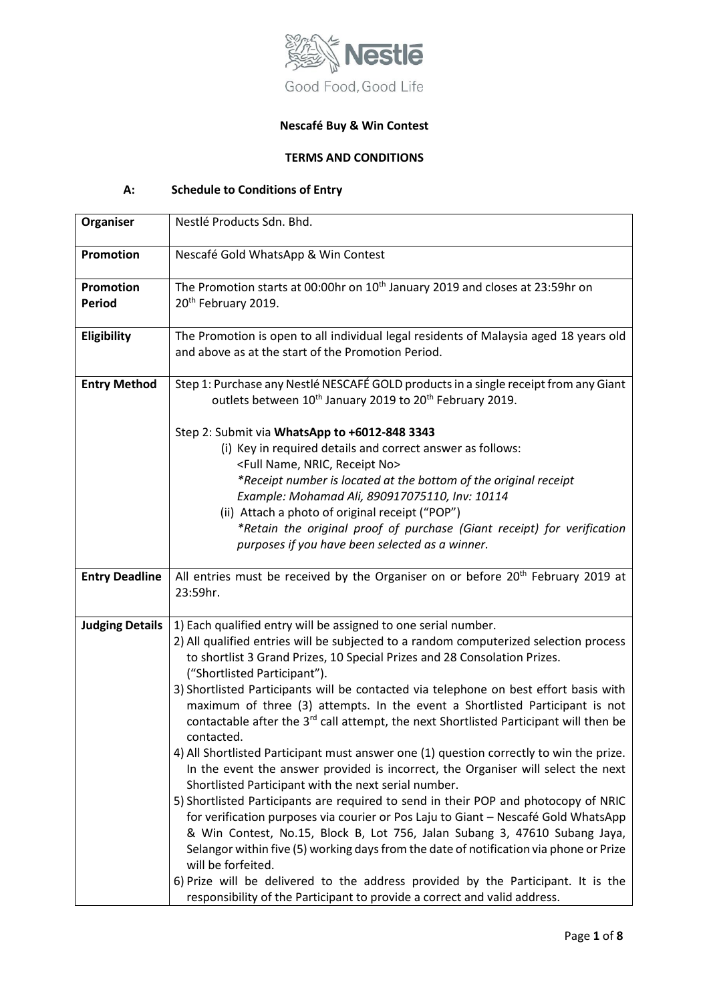

# **Nescafé Buy & Win Contest**

## **TERMS AND CONDITIONS**

# **A: Schedule to Conditions of Entry**

| Organiser                         | Nestlé Products Sdn. Bhd.                                                                                                                                                                                                                                                                                                                                                                                                                                                                                                                                                                                                                                                                                                                                                                                                                                                                                                                                                                                                                                                                                                                                                                                                                                                                                                                            |
|-----------------------------------|------------------------------------------------------------------------------------------------------------------------------------------------------------------------------------------------------------------------------------------------------------------------------------------------------------------------------------------------------------------------------------------------------------------------------------------------------------------------------------------------------------------------------------------------------------------------------------------------------------------------------------------------------------------------------------------------------------------------------------------------------------------------------------------------------------------------------------------------------------------------------------------------------------------------------------------------------------------------------------------------------------------------------------------------------------------------------------------------------------------------------------------------------------------------------------------------------------------------------------------------------------------------------------------------------------------------------------------------------|
| <b>Promotion</b>                  | Nescafé Gold WhatsApp & Win Contest                                                                                                                                                                                                                                                                                                                                                                                                                                                                                                                                                                                                                                                                                                                                                                                                                                                                                                                                                                                                                                                                                                                                                                                                                                                                                                                  |
| <b>Promotion</b><br><b>Period</b> | The Promotion starts at 00:00hr on 10 <sup>th</sup> January 2019 and closes at 23:59hr on<br>20 <sup>th</sup> February 2019.                                                                                                                                                                                                                                                                                                                                                                                                                                                                                                                                                                                                                                                                                                                                                                                                                                                                                                                                                                                                                                                                                                                                                                                                                         |
| Eligibility                       | The Promotion is open to all individual legal residents of Malaysia aged 18 years old<br>and above as at the start of the Promotion Period.                                                                                                                                                                                                                                                                                                                                                                                                                                                                                                                                                                                                                                                                                                                                                                                                                                                                                                                                                                                                                                                                                                                                                                                                          |
| <b>Entry Method</b>               | Step 1: Purchase any Nestlé NESCAFÉ GOLD products in a single receipt from any Giant<br>outlets between 10 <sup>th</sup> January 2019 to 20 <sup>th</sup> February 2019.                                                                                                                                                                                                                                                                                                                                                                                                                                                                                                                                                                                                                                                                                                                                                                                                                                                                                                                                                                                                                                                                                                                                                                             |
|                                   | Step 2: Submit via WhatsApp to +6012-848 3343<br>(i) Key in required details and correct answer as follows:<br><full name,="" no="" nric,="" receipt=""><br/>*Receipt number is located at the bottom of the original receipt<br/>Example: Mohamad Ali, 890917075110, Inv: 10114<br/>(ii) Attach a photo of original receipt ("POP")<br/>*Retain the original proof of purchase (Giant receipt) for verification<br/>purposes if you have been selected as a winner.</full>                                                                                                                                                                                                                                                                                                                                                                                                                                                                                                                                                                                                                                                                                                                                                                                                                                                                          |
| <b>Entry Deadline</b>             | All entries must be received by the Organiser on or before 20 <sup>th</sup> February 2019 at<br>23:59hr.                                                                                                                                                                                                                                                                                                                                                                                                                                                                                                                                                                                                                                                                                                                                                                                                                                                                                                                                                                                                                                                                                                                                                                                                                                             |
| <b>Judging Details</b>            | 1) Each qualified entry will be assigned to one serial number.<br>2) All qualified entries will be subjected to a random computerized selection process<br>to shortlist 3 Grand Prizes, 10 Special Prizes and 28 Consolation Prizes.<br>("Shortlisted Participant").<br>3) Shortlisted Participants will be contacted via telephone on best effort basis with<br>maximum of three (3) attempts. In the event a Shortlisted Participant is not<br>contactable after the 3 <sup>rd</sup> call attempt, the next Shortlisted Participant will then be<br>contacted.<br>4) All Shortlisted Participant must answer one (1) question correctly to win the prize.<br>In the event the answer provided is incorrect, the Organiser will select the next<br>Shortlisted Participant with the next serial number.<br>5) Shortlisted Participants are required to send in their POP and photocopy of NRIC<br>for verification purposes via courier or Pos Laju to Giant - Nescafé Gold WhatsApp<br>& Win Contest, No.15, Block B, Lot 756, Jalan Subang 3, 47610 Subang Jaya,<br>Selangor within five (5) working days from the date of notification via phone or Prize<br>will be forfeited.<br>6) Prize will be delivered to the address provided by the Participant. It is the<br>responsibility of the Participant to provide a correct and valid address. |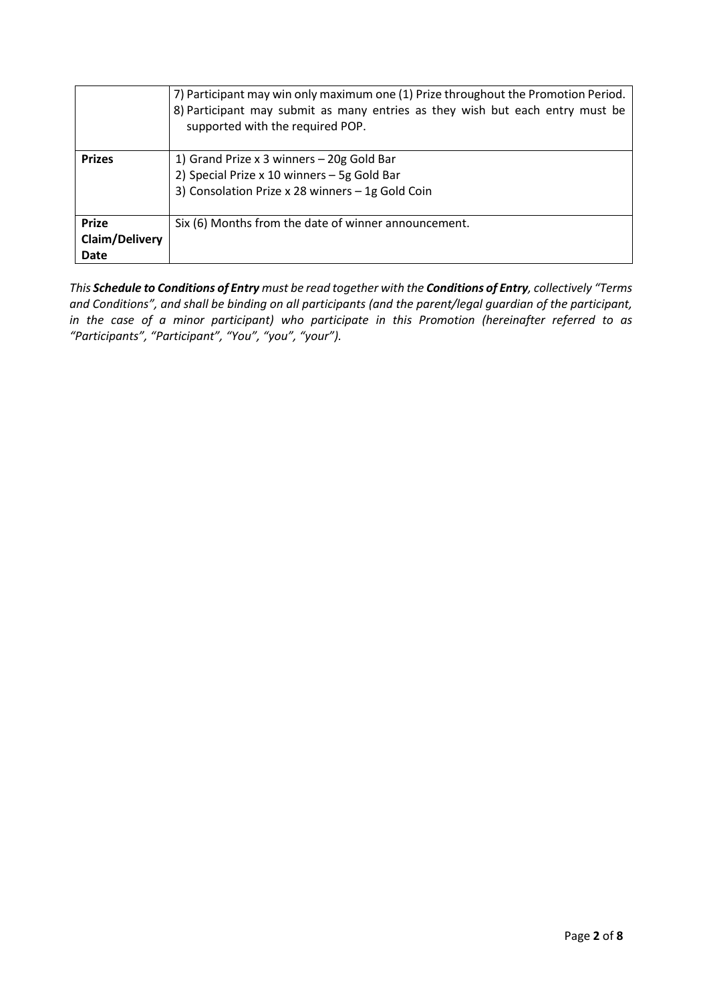|                       | 7) Participant may win only maximum one (1) Prize throughout the Promotion Period.<br>8) Participant may submit as many entries as they wish but each entry must be<br>supported with the required POP. |
|-----------------------|---------------------------------------------------------------------------------------------------------------------------------------------------------------------------------------------------------|
| <b>Prizes</b>         | 1) Grand Prize x 3 winners - 20g Gold Bar                                                                                                                                                               |
|                       | 2) Special Prize x 10 winners - 5g Gold Bar                                                                                                                                                             |
|                       | 3) Consolation Prize x 28 winners - 1g Gold Coin                                                                                                                                                        |
|                       |                                                                                                                                                                                                         |
| <b>Prize</b>          | Six (6) Months from the date of winner announcement.                                                                                                                                                    |
| <b>Claim/Delivery</b> |                                                                                                                                                                                                         |
| <b>Date</b>           |                                                                                                                                                                                                         |

*This Schedule to Conditions of Entry must be read together with the Conditions of Entry, collectively "Terms and Conditions", and shall be binding on all participants (and the parent/legal guardian of the participant, in the case of a minor participant) who participate in this Promotion (hereinafter referred to as "Participants", "Participant", "You", "you", "your").*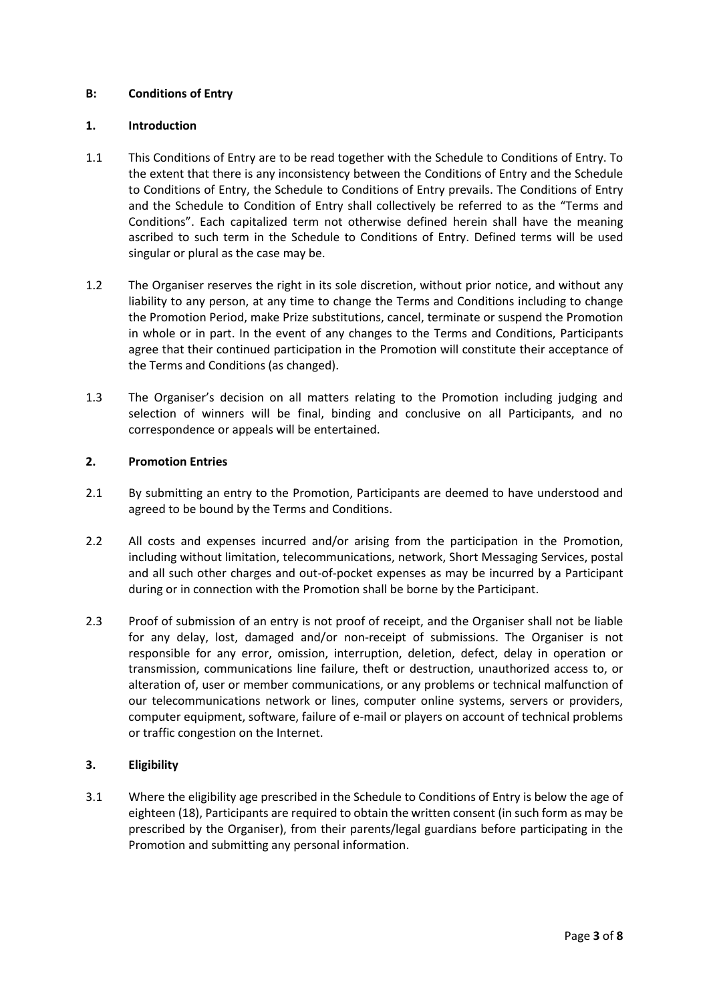## **B: Conditions of Entry**

### **1. Introduction**

- 1.1 This Conditions of Entry are to be read together with the Schedule to Conditions of Entry. To the extent that there is any inconsistency between the Conditions of Entry and the Schedule to Conditions of Entry, the Schedule to Conditions of Entry prevails. The Conditions of Entry and the Schedule to Condition of Entry shall collectively be referred to as the "Terms and Conditions". Each capitalized term not otherwise defined herein shall have the meaning ascribed to such term in the Schedule to Conditions of Entry. Defined terms will be used singular or plural as the case may be.
- 1.2 The Organiser reserves the right in its sole discretion, without prior notice, and without any liability to any person, at any time to change the Terms and Conditions including to change the Promotion Period, make Prize substitutions, cancel, terminate or suspend the Promotion in whole or in part. In the event of any changes to the Terms and Conditions, Participants agree that their continued participation in the Promotion will constitute their acceptance of the Terms and Conditions (as changed).
- 1.3 The Organiser's decision on all matters relating to the Promotion including judging and selection of winners will be final, binding and conclusive on all Participants, and no correspondence or appeals will be entertained.

## **2. Promotion Entries**

- 2.1 By submitting an entry to the Promotion, Participants are deemed to have understood and agreed to be bound by the Terms and Conditions.
- 2.2 All costs and expenses incurred and/or arising from the participation in the Promotion, including without limitation, telecommunications, network, Short Messaging Services, postal and all such other charges and out-of-pocket expenses as may be incurred by a Participant during or in connection with the Promotion shall be borne by the Participant.
- 2.3 Proof of submission of an entry is not proof of receipt, and the Organiser shall not be liable for any delay, lost, damaged and/or non-receipt of submissions. The Organiser is not responsible for any error, omission, interruption, deletion, defect, delay in operation or transmission, communications line failure, theft or destruction, unauthorized access to, or alteration of, user or member communications, or any problems or technical malfunction of our telecommunications network or lines, computer online systems, servers or providers, computer equipment, software, failure of e-mail or players on account of technical problems or traffic congestion on the Internet.

#### **3. Eligibility**

3.1 Where the eligibility age prescribed in the Schedule to Conditions of Entry is below the age of eighteen (18), Participants are required to obtain the written consent (in such form as may be prescribed by the Organiser), from their parents/legal guardians before participating in the Promotion and submitting any personal information.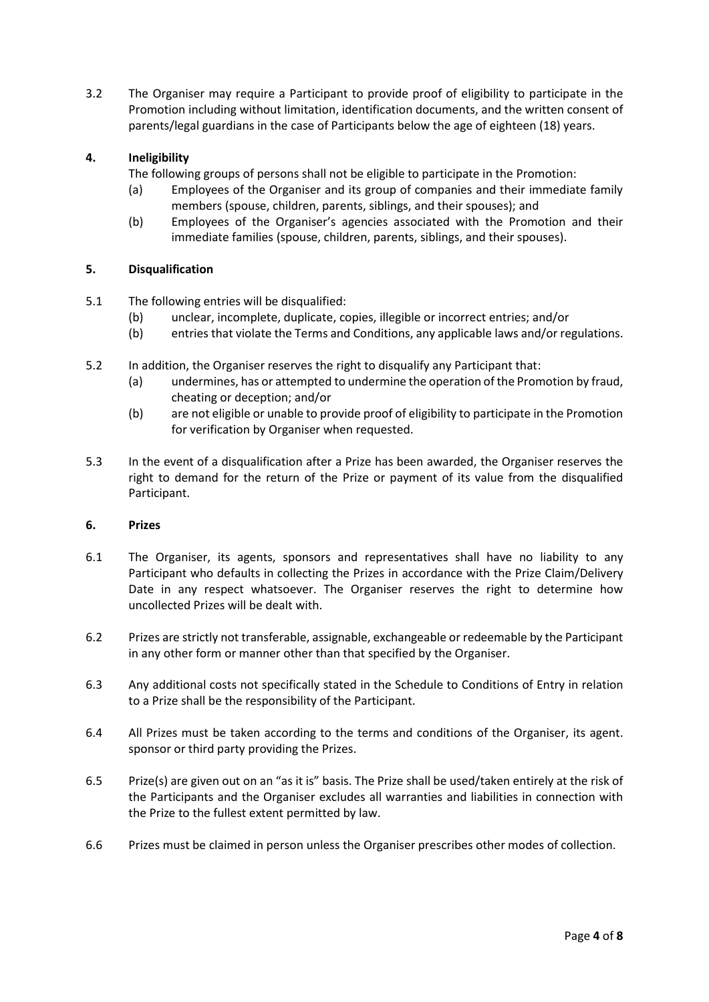3.2 The Organiser may require a Participant to provide proof of eligibility to participate in the Promotion including without limitation, identification documents, and the written consent of parents/legal guardians in the case of Participants below the age of eighteen (18) years.

## **4. Ineligibility**

The following groups of persons shall not be eligible to participate in the Promotion:

- (a) Employees of the Organiser and its group of companies and their immediate family members (spouse, children, parents, siblings, and their spouses); and
- (b) Employees of the Organiser's agencies associated with the Promotion and their immediate families (spouse, children, parents, siblings, and their spouses).

## **5. Disqualification**

- 5.1 The following entries will be disqualified:
	- (b) unclear, incomplete, duplicate, copies, illegible or incorrect entries; and/or
	- (b) entries that violate the Terms and Conditions, any applicable laws and/or regulations.
- 5.2 In addition, the Organiser reserves the right to disqualify any Participant that:
	- (a) undermines, has or attempted to undermine the operation of the Promotion by fraud, cheating or deception; and/or
	- (b) are not eligible or unable to provide proof of eligibility to participate in the Promotion for verification by Organiser when requested.
- 5.3 In the event of a disqualification after a Prize has been awarded, the Organiser reserves the right to demand for the return of the Prize or payment of its value from the disqualified Participant.

#### **6. Prizes**

- 6.1 The Organiser, its agents, sponsors and representatives shall have no liability to any Participant who defaults in collecting the Prizes in accordance with the Prize Claim/Delivery Date in any respect whatsoever. The Organiser reserves the right to determine how uncollected Prizes will be dealt with.
- 6.2 Prizes are strictly not transferable, assignable, exchangeable or redeemable by the Participant in any other form or manner other than that specified by the Organiser.
- 6.3 Any additional costs not specifically stated in the Schedule to Conditions of Entry in relation to a Prize shall be the responsibility of the Participant.
- 6.4 All Prizes must be taken according to the terms and conditions of the Organiser, its agent. sponsor or third party providing the Prizes.
- 6.5 Prize(s) are given out on an "as it is" basis. The Prize shall be used/taken entirely at the risk of the Participants and the Organiser excludes all warranties and liabilities in connection with the Prize to the fullest extent permitted by law.
- 6.6 Prizes must be claimed in person unless the Organiser prescribes other modes of collection.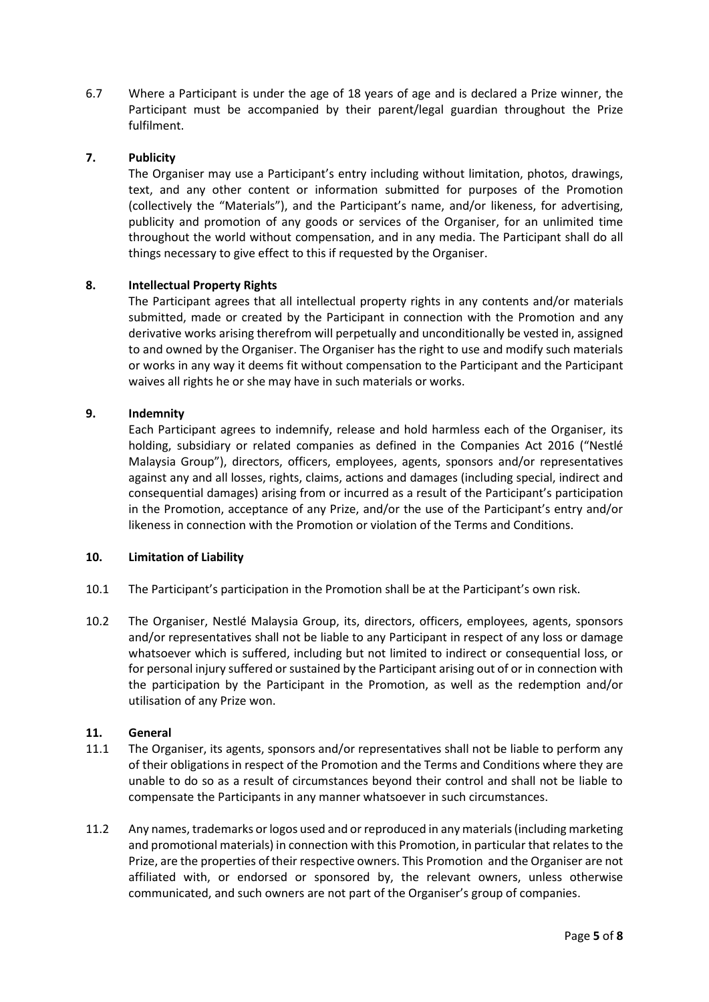6.7 Where a Participant is under the age of 18 years of age and is declared a Prize winner, the Participant must be accompanied by their parent/legal guardian throughout the Prize fulfilment.

### **7. Publicity**

The Organiser may use a Participant's entry including without limitation, photos, drawings, text, and any other content or information submitted for purposes of the Promotion (collectively the "Materials"), and the Participant's name, and/or likeness, for advertising, publicity and promotion of any goods or services of the Organiser, for an unlimited time throughout the world without compensation, and in any media. The Participant shall do all things necessary to give effect to this if requested by the Organiser.

## **8. Intellectual Property Rights**

The Participant agrees that all intellectual property rights in any contents and/or materials submitted, made or created by the Participant in connection with the Promotion and any derivative works arising therefrom will perpetually and unconditionally be vested in, assigned to and owned by the Organiser. The Organiser has the right to use and modify such materials or works in any way it deems fit without compensation to the Participant and the Participant waives all rights he or she may have in such materials or works.

### **9. Indemnity**

Each Participant agrees to indemnify, release and hold harmless each of the Organiser, its holding, subsidiary or related companies as defined in the Companies Act 2016 ("Nestlé Malaysia Group"), directors, officers, employees, agents, sponsors and/or representatives against any and all losses, rights, claims, actions and damages (including special, indirect and consequential damages) arising from or incurred as a result of the Participant's participation in the Promotion, acceptance of any Prize, and/or the use of the Participant's entry and/or likeness in connection with the Promotion or violation of the Terms and Conditions.

#### **10. Limitation of Liability**

- 10.1 The Participant's participation in the Promotion shall be at the Participant's own risk.
- 10.2 The Organiser, Nestlé Malaysia Group, its, directors, officers, employees, agents, sponsors and/or representatives shall not be liable to any Participant in respect of any loss or damage whatsoever which is suffered, including but not limited to indirect or consequential loss, or for personal injury suffered or sustained by the Participant arising out of or in connection with the participation by the Participant in the Promotion, as well as the redemption and/or utilisation of any Prize won.

#### **11. General**

- 11.1 The Organiser, its agents, sponsors and/or representatives shall not be liable to perform any of their obligations in respect of the Promotion and the Terms and Conditions where they are unable to do so as a result of circumstances beyond their control and shall not be liable to compensate the Participants in any manner whatsoever in such circumstances.
- 11.2 Any names, trademarks or logos used and or reproduced in any materials (including marketing and promotional materials) in connection with this Promotion, in particular that relates to the Prize, are the properties of their respective owners. This Promotion and the Organiser are not affiliated with, or endorsed or sponsored by, the relevant owners, unless otherwise communicated, and such owners are not part of the Organiser's group of companies.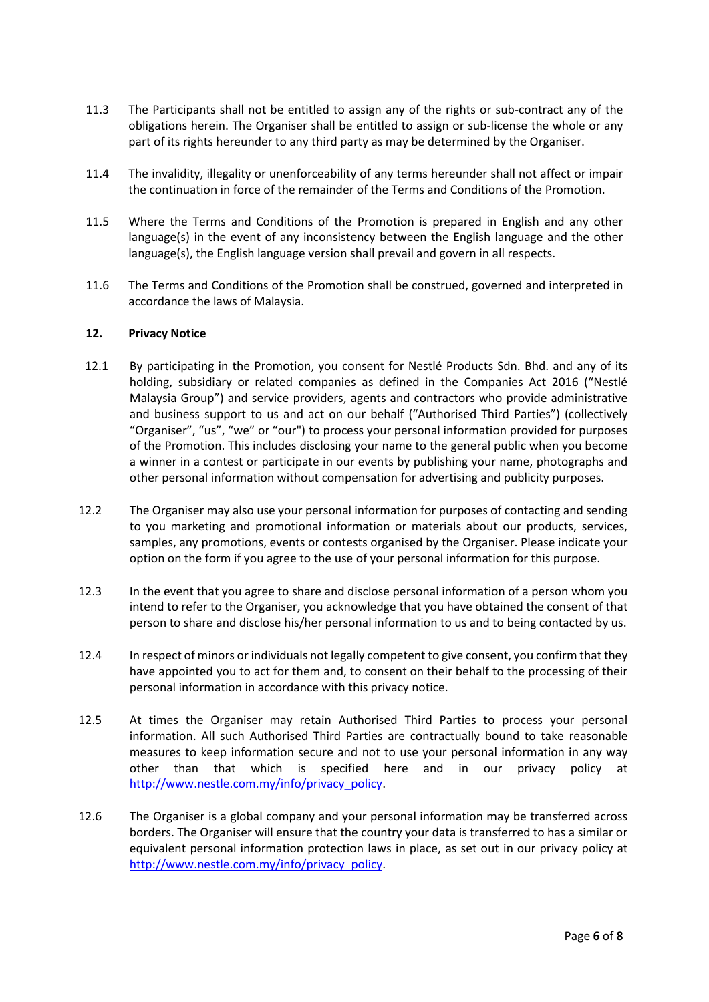- 11.3 The Participants shall not be entitled to assign any of the rights or sub-contract any of the obligations herein. The Organiser shall be entitled to assign or sub-license the whole or any part of its rights hereunder to any third party as may be determined by the Organiser.
- 11.4 The invalidity, illegality or unenforceability of any terms hereunder shall not affect or impair the continuation in force of the remainder of the Terms and Conditions of the Promotion.
- 11.5 Where the Terms and Conditions of the Promotion is prepared in English and any other language(s) in the event of any inconsistency between the English language and the other language(s), the English language version shall prevail and govern in all respects.
- 11.6 The Terms and Conditions of the Promotion shall be construed, governed and interpreted in accordance the laws of Malaysia.

### **12. Privacy Notice**

- 12.1 By participating in the Promotion, you consent for Nestlé Products Sdn. Bhd. and any of its holding, subsidiary or related companies as defined in the Companies Act 2016 ("Nestlé Malaysia Group") and service providers, agents and contractors who provide administrative and business support to us and act on our behalf ("Authorised Third Parties") (collectively "Organiser", "us", "we" or "our") to process your personal information provided for purposes of the Promotion. This includes disclosing your name to the general public when you become a winner in a contest or participate in our events by publishing your name, photographs and other personal information without compensation for advertising and publicity purposes.
- 12.2 The Organiser may also use your personal information for purposes of contacting and sending to you marketing and promotional information or materials about our products, services, samples, any promotions, events or contests organised by the Organiser. Please indicate your option on the form if you agree to the use of your personal information for this purpose.
- 12.3 In the event that you agree to share and disclose personal information of a person whom you intend to refer to the Organiser, you acknowledge that you have obtained the consent of that person to share and disclose his/her personal information to us and to being contacted by us.
- 12.4 In respect of minors or individuals not legally competent to give consent, you confirm that they have appointed you to act for them and, to consent on their behalf to the processing of their personal information in accordance with this privacy notice.
- 12.5 At times the Organiser may retain Authorised Third Parties to process your personal information. All such Authorised Third Parties are contractually bound to take reasonable measures to keep information secure and not to use your personal information in any way other than that which is specified here and in our privacy policy at [http://www.nestle.com.my/info/privacy\\_policy.](http://www.nestle.com.my/info/privacy_policy)
- 12.6 The Organiser is a global company and your personal information may be transferred across borders. The Organiser will ensure that the country your data is transferred to has a similar or equivalent personal information protection laws in place, as set out in our privacy policy at [http://www.nestle.com.my/info/privacy\\_policy.](http://www.nestle.com.my/info/privacy_policy)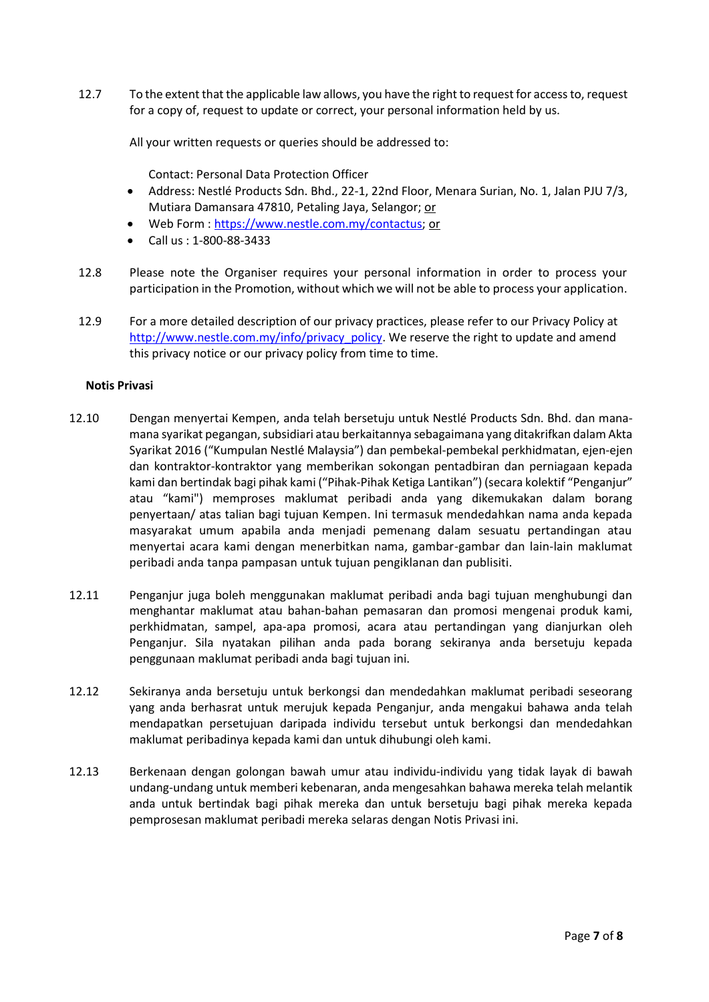12.7 To the extent that the applicable law allows, you have the right to request for access to, request for a copy of, request to update or correct, your personal information held by us.

All your written requests or queries should be addressed to:

Contact: Personal Data Protection Officer

- Address: Nestlé Products Sdn. Bhd., 22-1, 22nd Floor, Menara Surian, No. 1, Jalan PJU 7/3, Mutiara Damansara 47810, Petaling Jaya, Selangor; or
- Web Form : [https://www.nestle.com.my/contactus;](https://www.nestle.com.my/contactus) or
- Call us : 1-800-88-3433
- 12.8 Please note the Organiser requires your personal information in order to process your participation in the Promotion, without which we will not be able to process your application.
- 12.9 For a more detailed description of our privacy practices, please refer to our Privacy Policy at [http://www.nestle.com.my/info/privacy\\_policy.](http://www.nestle.com.my/info/privacy_policy) We reserve the right to update and amend this privacy notice or our privacy policy from time to time.

#### **Notis Privasi**

- 12.10 Dengan menyertai Kempen, anda telah bersetuju untuk Nestlé Products Sdn. Bhd. dan manamana syarikat pegangan, subsidiari atau berkaitannya sebagaimana yang ditakrifkan dalam Akta Syarikat 2016 ("Kumpulan Nestlé Malaysia") dan pembekal-pembekal perkhidmatan, ejen-ejen dan kontraktor-kontraktor yang memberikan sokongan pentadbiran dan perniagaan kepada kami dan bertindak bagi pihak kami ("Pihak-Pihak Ketiga Lantikan") (secara kolektif "Penganjur" atau "kami") memproses maklumat peribadi anda yang dikemukakan dalam borang penyertaan/ atas talian bagi tujuan Kempen. Ini termasuk mendedahkan nama anda kepada masyarakat umum apabila anda menjadi pemenang dalam sesuatu pertandingan atau menyertai acara kami dengan menerbitkan nama, gambar-gambar dan lain-lain maklumat peribadi anda tanpa pampasan untuk tujuan pengiklanan dan publisiti.
- 12.11 Penganjur juga boleh menggunakan maklumat peribadi anda bagi tujuan menghubungi dan menghantar maklumat atau bahan-bahan pemasaran dan promosi mengenai produk kami, perkhidmatan, sampel, apa-apa promosi, acara atau pertandingan yang dianjurkan oleh Penganjur. Sila nyatakan pilihan anda pada borang sekiranya anda bersetuju kepada penggunaan maklumat peribadi anda bagi tujuan ini.
- 12.12 Sekiranya anda bersetuju untuk berkongsi dan mendedahkan maklumat peribadi seseorang yang anda berhasrat untuk merujuk kepada Penganjur, anda mengakui bahawa anda telah mendapatkan persetujuan daripada individu tersebut untuk berkongsi dan mendedahkan maklumat peribadinya kepada kami dan untuk dihubungi oleh kami.
- 12.13 Berkenaan dengan golongan bawah umur atau individu-individu yang tidak layak di bawah undang-undang untuk memberi kebenaran, anda mengesahkan bahawa mereka telah melantik anda untuk bertindak bagi pihak mereka dan untuk bersetuju bagi pihak mereka kepada pemprosesan maklumat peribadi mereka selaras dengan Notis Privasi ini.